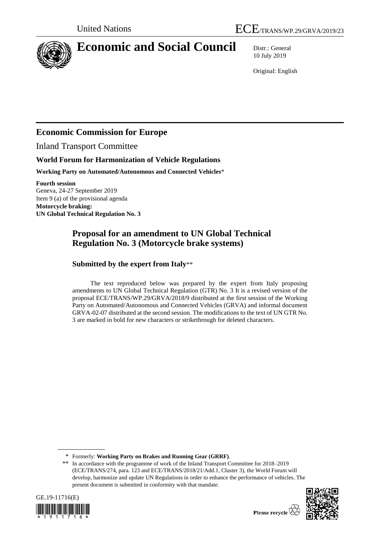

# **Economic and Social Council** Distr.: General

10 July 2019

Original: English

## **Economic Commission for Europe**

Inland Transport Committee

## **World Forum for Harmonization of Vehicle Regulations**

**Working Party on Automated/Autonomous and Connected Vehicles**\*

**Fourth session** Geneva, 24-27 September 2019 Item 9 (a) of the provisional agenda **Motorcycle braking: UN Global Technical Regulation No. 3**

## **Proposal for an amendment to UN Global Technical Regulation No. 3 (Motorcycle brake systems)**

## **Submitted by the expert from Italy**\*\*

The text reproduced below was prepared by the expert from Italy proposing amendments to UN Global Technical Regulation (GTR) No. 3 It is a revised version of the proposal ECE/TRANS/WP.29/GRVA/2018/9 distributed at the first session of the Working Party on Automated/Autonomous and Connected Vehicles (GRVA) and informal document GRVA-02-07 distributed at the second session. The modifications to the text of UN GTR No. 3 are marked in bold for new characters or strikethrough for deleted characters.

<sup>\*\*</sup> In accordance with the programme of work of the Inland Transport Committee for 2018–2019 (ECE/TRANS/274, para. 123 and ECE/TRANS/2018/21/Add.1, Cluster 3), the World Forum will develop, harmonize and update UN Regulations in order to enhance the performance of vehicles. The present document is submitted in conformity with that mandate.





Please recycle  $\vec{\mathcal{R}}$ 

<sup>\*</sup> Formerly: **Working Party on Brakes and Running Gear (GRRF)**.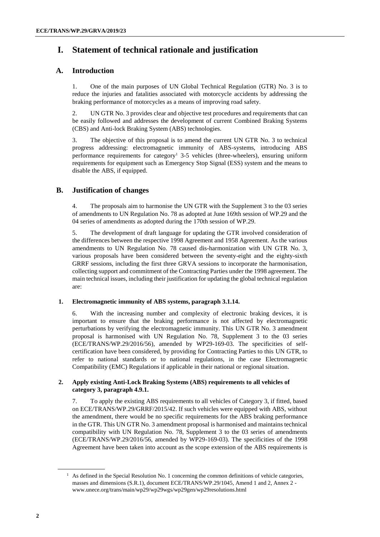## **I. Statement of technical rationale and justification**

### **A. Introduction**

1. One of the main purposes of UN Global Technical Regulation (GTR) No. 3 is to reduce the injuries and fatalities associated with motorcycle accidents by addressing the braking performance of motorcycles as a means of improving road safety.

2. UN GTR No. 3 provides clear and objective test procedures and requirements that can be easily followed and addresses the development of current Combined Braking Systems (CBS) and Anti-lock Braking System (ABS) technologies.

3. The objective of this proposal is to amend the current UN GTR No. 3 to technical progress addressing: electromagnetic immunity of ABS-systems, introducing ABS performance requirements for category<sup>1</sup> 3-5 vehicles (three-wheelers), ensuring uniform requirements for equipment such as Emergency Stop Signal (ESS) system and the means to disable the ABS, if equipped.

#### **B. Justification of changes**

4. The proposals aim to harmonise the UN GTR with the Supplement 3 to the 03 series of amendments to UN Regulation No. 78 as adopted at June 169th session of WP.29 and the 04 series of amendments as adopted during the 170th session of WP.29.

5. The development of draft language for updating the GTR involved consideration of the differences between the respective 1998 Agreement and 1958 Agreement. As the various amendments to UN Regulation No. 78 caused dis-harmonization with UN GTR No. 3, various proposals have been considered between the seventy-eight and the eighty-sixth GRRF sessions, including the first three GRVA sessions to incorporate the harmonisation, collecting support and commitment of the Contracting Parties under the 1998 agreement. The main technical issues, including their justification for updating the global technical regulation are:

#### **1. Electromagnetic immunity of ABS systems, paragraph 3.1.14.**

6. With the increasing number and complexity of electronic braking devices, it is important to ensure that the braking performance is not affected by electromagnetic perturbations by verifying the electromagnetic immunity. This UN GTR No. 3 amendment proposal is harmonised with UN Regulation No. 78, Supplement 3 to the 03 series (ECE/TRANS/WP.29/2016/56), amended by WP29-169-03. The specificities of selfcertification have been considered, by providing for Contracting Parties to this UN GTR, to refer to national standards or to national regulations, in the case Electromagnetic Compatibility (EMC) Regulations if applicable in their national or regional situation.

#### **2. Apply existing Anti-Lock Braking Systems (ABS) requirements to all vehicles of category 3, paragraph 4.9.1.**

7. To apply the existing ABS requirements to all vehicles of Category 3, if fitted, based on ECE/TRANS/WP.29/GRRF/2015/42. If such vehicles were equipped with ABS, without the amendment, there would be no specific requirements for the ABS braking performance in the GTR. This UN GTR No. 3 amendment proposal is harmonised and maintains technical compatibility with UN Regulation No. 78, Supplement 3 to the 03 series of amendments (ECE/TRANS/WP.29/2016/56, amended by WP29-169-03). The specificities of the 1998 Agreement have been taken into account as the scope extension of the ABS requirements is

 $<sup>1</sup>$  As defined in the Special Resolution No. 1 concerning the common definitions of vehicle categories,</sup> masses and dimensions (S.R.1), document ECE/TRANS/WP.29/1045, Amend 1 and 2, Annex 2 www.unece.org/trans/main/wp29/wp29wgs/wp29gen/wp29resolutions.html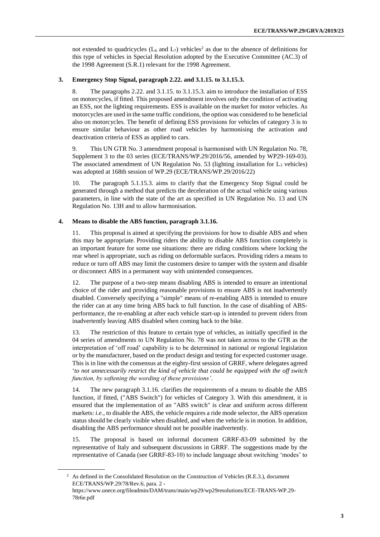not extended to quadricycles ( $L_6$  and  $L_7$ ) vehicles<sup>2</sup> as due to the absence of definitions for this type of vehicles in Special Resolution adopted by the Executive Committee (AC.3) of the 1998 Agreement (S.R.1) relevant for the 1998 Agreement.

#### **3. Emergency Stop Signal, paragraph 2.22. and 3.1.15. to 3.1.15.3.**

8. The paragraphs 2.22. and 3.1.15. to 3.1.15.3. aim to introduce the installation of ESS on motorcycles, if fitted. This proposed amendment involves only the condition of activating an ESS, not the lighting requirements. ESS is available on the market for motor vehicles. As motorcycles are used in the same traffic conditions, the option was considered to be beneficial also on motorcycles. The benefit of defining ESS provisions for vehicles of category 3 is to ensure similar behaviour as other road vehicles by harmonising the activation and deactivation criteria of ESS as applied to cars.

9. This UN GTR No. 3 amendment proposal is harmonised with UN Regulation No. 78, Supplement 3 to the 03 series (ECE/TRANS/WP.29/2016/56, amended by WP29-169-03). The associated amendment of UN Regulation No. 53 (lighting installation for  $L_3$  vehicles) was adopted at 168th session of WP.29 (ECE/TRANS/WP.29/2016/22)

10. The paragraph 5.1.15.3. aims to clarify that the Emergency Stop Signal could be generated through a method that predicts the deceleration of the actual vehicle using various parameters, in line with the state of the art as specified in UN Regulation No. 13 and UN Regulation No. 13H and to allow harmonisation.

#### **4. Means to disable the ABS function, paragraph 3.1.16.**

11. This proposal is aimed at specifying the provisions for how to disable ABS and when this may be appropriate. Providing riders the ability to disable ABS function completely is an important feature for some use situations: there are riding conditions where locking the rear wheel is appropriate, such as riding on deformable surfaces. Providing riders a means to reduce or turn off ABS may limit the customers desire to tamper with the system and disable or disconnect ABS in a permanent way with unintended consequences.

12. The purpose of a two-step means disabling ABS is intended to ensure an intentional choice of the rider and providing reasonable provisions to ensure ABS is not inadvertently disabled. Conversely specifying a "simple" means of re-enabling ABS is intended to ensure the rider can at any time bring ABS back to full function. In the case of disabling of ABSperformance, the re-enabling at after each vehicle start-up is intended to prevent riders from inadvertently leaving ABS disabled when coming back to the bike.

13. The restriction of this feature to certain type of vehicles, as initially specified in the 04 series of amendments to UN Regulation No. 78 was not taken across to the GTR as the interpretation of 'off road' capability is to be determined in national or regional legislation or by the manufacturer, based on the product design and testing for expected customer usage. This is in line with the consensus at the eighty-first session of GRRF, where delegates agreed '*to not unnecessarily restrict the kind of vehicle that could be equipped with the off switch function, by softening the wording of these provisions'*.

14. The new paragraph 3.1.16. clarifies the requirements of a means to disable the ABS function, if fitted, ("ABS Switch") for vehicles of Category 3. With this amendment, it is ensured that the implementation of an "ABS switch" is clear and uniform across different markets: *i.e.,* to disable the ABS, the vehicle requires a ride mode selector, the ABS operation status should be clearly visible when disabled, and when the vehicle is in motion. In addition, disabling the ABS performance should not be possible inadvertently.

15. The proposal is based on informal document GRRF-83-09 submitted by the representative of Italy and subsequent discussions in GRRF. The suggestions made by the representative of Canada (see GRRF-83-10) to include language about switching 'modes' to

 $2$  As defined in the Consolidated Resolution on the Construction of Vehicles (R.E.3.), document ECE/TRANS/WP.29/78/Rev.6, para. 2 -

https://www.unece.org/fileadmin/DAM/trans/main/wp29/wp29resolutions/ECE-TRANS-WP.29- 78r6e.pdf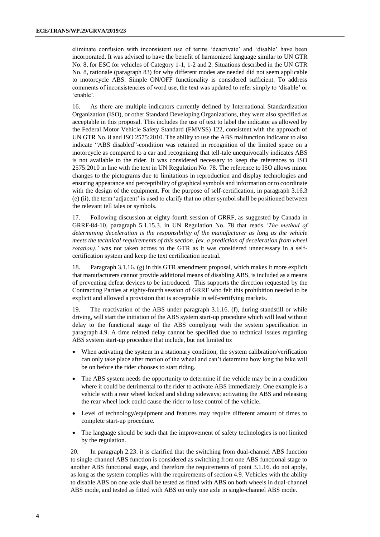eliminate confusion with inconsistent use of terms 'deactivate' and 'disable' have been incorporated. It was advised to have the benefit of harmonized language similar to UN GTR No. 8, for ESC for vehicles of Category 1-1, 1-2 and 2. Situations described in the UN GTR No. 8, rationale (paragraph 83) for why different modes are needed did not seem applicable to motorcycle ABS. Simple ON/OFF functionality is considered sufficient. To address comments of inconsistencies of word use, the text was updated to refer simply to 'disable' or 'enable'.

16. As there are multiple indicators currently defined by International Standardization Organization (ISO), or other Standard Developing Organizations, they were also specified as acceptable in this proposal. This includes the use of text to label the indicator as allowed by the Federal Motor Vehicle Safety Standard (FMVSS) 122, consistent with the approach of UN GTR No. 8 and ISO 2575:2010. The ability to use the ABS malfunction indicator to also indicate "ABS disabled"-condition was retained in recognition of the limited space on a motorcycle as compared to a car and recognizing that tell-tale unequivocally indicates ABS is not available to the rider. It was considered necessary to keep the references to ISO 2575:2010 in line with the text in UN Regulation No. 78. The reference to ISO allows minor changes to the pictograms due to limitations in reproduction and display technologies and ensuring appearance and perceptibility of graphical symbols and information or to coordinate with the design of the equipment. For the purpose of self-certification, in paragraph 3.16.3 (e) (ii), the term 'adjacent' is used to clarify that no other symbol shall be positioned between the relevant tell tales or symbols.

17. Following discussion at eighty-fourth session of GRRF, as suggested by Canada in GRRF-84-10, paragraph 5.1.15.3. in UN Regulation No. 78 that reads *'The method of determining deceleration is the responsibility of the manufacturer as long as the vehicle meets the technical requirements of this section. (ex. a prediction of deceleration from wheel rotation*).' was not taken across to the GTR as it was considered unnecessary in a selfcertification system and keep the text certification neutral.

18. Paragraph 3.1.16. (g) in this GTR amendment proposal, which makes it more explicit that manufacturers cannot provide additional means of disabling ABS, is included as a means of preventing defeat devices to be introduced. This supports the direction requested by the Contracting Parties at eighty-fourth session of GRRF who felt this prohibition needed to be explicit and allowed a provision that is acceptable in self-certifying markets.

19. The reactivation of the ABS under paragraph 3.1.16. (f), during standstill or while driving, will start the initiation of the ABS system start-up procedure which will lead without delay to the functional stage of the ABS complying with the system specification in paragraph 4.9. A time related delay cannot be specified due to technical issues regarding ABS system start-up procedure that include, but not limited to:

- When activating the system in a stationary condition, the system calibration/verification can only take place after motion of the wheel and can't determine how long the bike will be on before the rider chooses to start riding.
- The ABS system needs the opportunity to determine if the vehicle may be in a condition where it could be detrimental to the rider to activate ABS immediately. One example is a vehicle with a rear wheel locked and sliding sideways; activating the ABS and releasing the rear wheel lock could cause the rider to lose control of the vehicle.
- Level of technology/equipment and features may require different amount of times to complete start-up procedure.
- The language should be such that the improvement of safety technologies is not limited by the regulation.

20. In paragraph 2.23. it is clarified that the switching from dual-channel ABS function to single-channel ABS function is considered as switching from one ABS functional stage to another ABS functional stage, and therefore the requirements of point 3.1.16. do not apply, as long as the system complies with the requirements of section 4.9. Vehicles with the ability to disable ABS on one axle shall be tested as fitted with ABS on both wheels in dual-channel ABS mode, and tested as fitted with ABS on only one axle in single-channel ABS mode.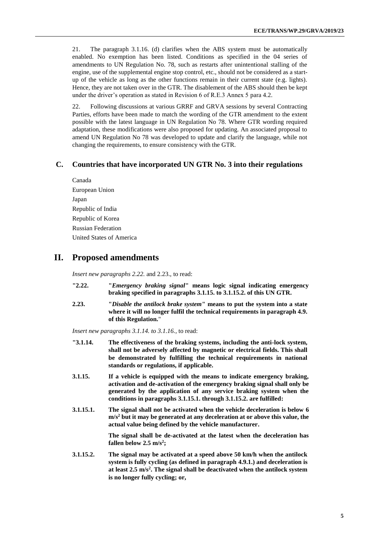21. The paragraph 3.1.16. (d) clarifies when the ABS system must be automatically enabled. No exemption has been listed. Conditions as specified in the 04 series of amendments to UN Regulation No. 78, such as restarts after unintentional stalling of the engine, use of the supplemental engine stop control, etc., should not be considered as a startup of the vehicle as long as the other functions remain in their current state (e.g. lights). Hence, they are not taken over in the GTR. The disablement of the ABS should then be kept under the driver's operation as stated in Revision 6 of R.E.3 Annex 5 para 4.2.

22. Following discussions at various GRRF and GRVA sessions by several Contracting Parties, efforts have been made to match the wording of the GTR amendment to the extent possible with the latest language in UN Regulation No 78. Where GTR wording required adaptation, these modifications were also proposed for updating. An associated proposal to amend UN Regulation No 78 was developed to update and clarify the language, while not changing the requirements, to ensure consistency with the GTR.

#### **C. Countries that have incorporated UN GTR No. 3 into their regulations**

Canada European Union Japan Republic of India Republic of Korea Russian Federation United States of America

#### **II. Proposed amendments**

*Insert new paragraphs 2.22.* and 2.23., to read:

- **"2.22. "***Emergency braking signal***" means logic signal indicating emergency braking specified in paragraphs 3.1.15. to 3.1.15.2. of this UN GTR.**
- **2.23. "***Disable the antilock brake system***" means to put the system into a state where it will no longer fulfil the technical requirements in paragraph 4.9. of this Regulation.**"

*Insert new paragraphs 3.1.14. to 3.1.16.,* to read:

- **"3.1.14. The effectiveness of the braking systems, including the anti-lock system, shall not be adversely affected by magnetic or electrical fields. This shall be demonstrated by fulfilling the technical requirements in national standards or regulations, if applicable.**
- **3.1.15. If a vehicle is equipped with the means to indicate emergency braking, activation and de-activation of the emergency braking signal shall only be generated by the application of any service braking system when the conditions in paragraphs 3.1.15.1. through 3.1.15.2. are fulfilled:**
- **3.1.15.1. The signal shall not be activated when the vehicle deceleration is below 6 m/s<sup>2</sup> but it may be generated at any deceleration at or above this value, the actual value being defined by the vehicle manufacturer.**

**The signal shall be de-activated at the latest when the deceleration has fallen below 2.5 m/s<sup>2</sup> ;**

**3.1.15.2. The signal may be activated at a speed above 50 km/h when the antilock system is fully cycling (as defined in paragraph 4.9.1.) and deceleration is at least 2.5 m/s<sup>2</sup> . The signal shall be deactivated when the antilock system is no longer fully cycling; or,**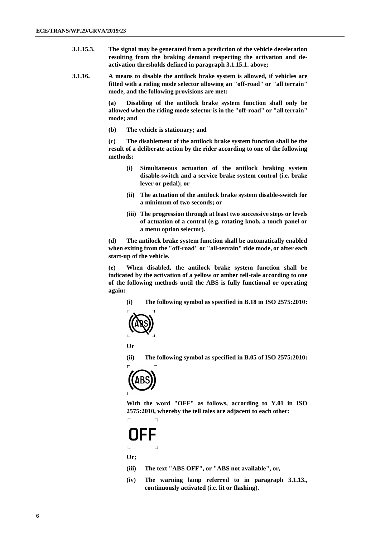- **3.1.15.3. The signal may be generated from a prediction of the vehicle deceleration resulting from the braking demand respecting the activation and deactivation thresholds defined in paragraph 3.1.15.1. above;**
- **3.1.16. A means to disable the antilock brake system is allowed, if vehicles are fitted with a riding mode selector allowing an "off-road" or "all terrain" mode, and the following provisions are met:**

**(a) Disabling of the antilock brake system function shall only be allowed when the riding mode selector is in the "off-road" or "all terrain" mode; and**

**(b) The vehicle is stationary; and**

**(c) The disablement of the antilock brake system function shall be the result of a deliberate action by the rider according to one of the following methods:**

- **(i) Simultaneous actuation of the antilock braking system disable-switch and a service brake system control (i.e. brake lever or pedal); or**
- **(ii) The actuation of the antilock brake system disable-switch for a minimum of two seconds; or**
- **(iii) The progression through at least two successive steps or levels of actuation of a control (e.g. rotating knob, a touch panel or a menu option selector).**

**(d) The antilock brake system function shall be automatically enabled when exiting from the "off-road" or "all-terrain" ride mode, or after each start-up of the vehicle.**

**(e) When disabled, the antilock brake system function shall be indicated by the activation of a yellow or amber tell-tale according to one of the following methods until the ABS is fully functional or operating again:**

**(i) The following symbol as specified in B.18 in ISO 2575:2010:**



**Or**

**(ii) The following symbol as specified in B.05 of ISO 2575:2010:**



**With the word "OFF" as follows, according to Y.01 in ISO 2575:2010, whereby the tell tales are adjacent to each other:**

**Or;**

- **(iii) The text "ABS OFF", or "ABS not available", or,**
- **(iv) The warning lamp referred to in paragraph 3.1.13., continuously activated (i.e. lit or flashing).**